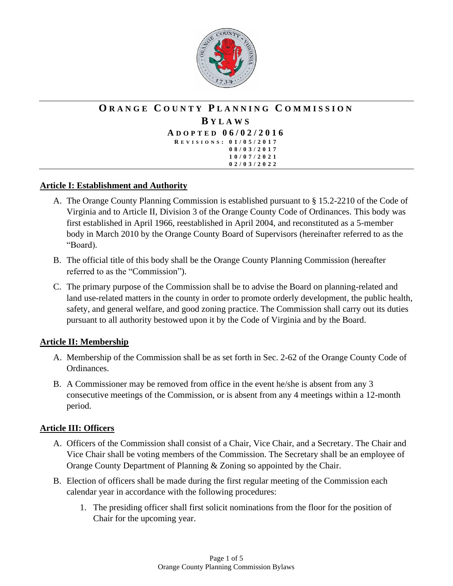

#### **O R A N G E C O U N T Y P L A N N I N G C O M M I S S I O N B Y L A W S A D O P T E D 0 6 / 0 2 / 2 0 1 6 R EVISIONS : 0 1 / 0 5 / 2 0 1 7 0 8 / 0 3 / 2 0 1 7 1 0 / 0 7 / 2 0 2 1 0 2 / 0 3 / 2 0 2 2**

## **Article I: Establishment and Authority**

- A. The Orange County Planning Commission is established pursuant to § 15.2-2210 of the Code of Virginia and to Article II, Division 3 of the Orange County Code of Ordinances. This body was first established in April 1966, reestablished in April 2004, and reconstituted as a 5-member body in March 2010 by the Orange County Board of Supervisors (hereinafter referred to as the "Board).
- B. The official title of this body shall be the Orange County Planning Commission (hereafter referred to as the "Commission").
- C. The primary purpose of the Commission shall be to advise the Board on planning-related and land use-related matters in the county in order to promote orderly development, the public health, safety, and general welfare, and good zoning practice. The Commission shall carry out its duties pursuant to all authority bestowed upon it by the Code of Virginia and by the Board.

## **Article II: Membership**

- A. Membership of the Commission shall be as set forth in Sec. 2-62 of the Orange County Code of Ordinances.
- B. A Commissioner may be removed from office in the event he/she is absent from any 3 consecutive meetings of the Commission, or is absent from any 4 meetings within a 12-month period.

## **Article III: Officers**

- A. Officers of the Commission shall consist of a Chair, Vice Chair, and a Secretary. The Chair and Vice Chair shall be voting members of the Commission. The Secretary shall be an employee of Orange County Department of Planning & Zoning so appointed by the Chair.
- B. Election of officers shall be made during the first regular meeting of the Commission each calendar year in accordance with the following procedures:
	- 1. The presiding officer shall first solicit nominations from the floor for the position of Chair for the upcoming year.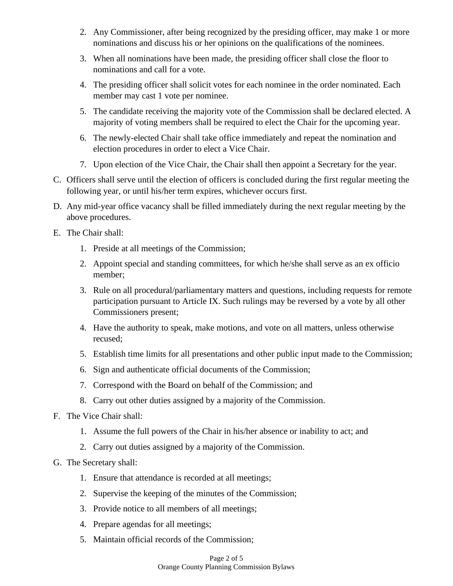- 2. Any Commissioner, after being recognized by the presiding officer, may make 1 or more nominations and discuss his or her opinions on the qualifications of the nominees.
- 3. When all nominations have been made, the presiding officer shall close the floor to nominations and call for a vote.
- 4. The presiding officer shall solicit votes for each nominee in the order nominated. Each member may cast 1 vote per nominee.
- 5. The candidate receiving the majority vote of the Commission shall be declared elected. A majority of voting members shall be required to elect the Chair for the upcoming year.
- 6. The newly-elected Chair shall take office immediately and repeat the nomination and election procedures in order to elect a Vice Chair.
- 7. Upon election of the Vice Chair, the Chair shall then appoint a Secretary for the year.
- C. Officers shall serve until the election of officers is concluded during the first regular meeting the following year, or until his/her term expires, whichever occurs first.
- D. Any mid-year office vacancy shall be filled immediately during the next regular meeting by the above procedures.
- E. The Chair shall:
	- 1. Preside at all meetings of the Commission;
	- 2. Appoint special and standing committees, for which he/she shall serve as an ex officio member;
	- 3. Rule on all procedural/parliamentary matters and questions, including requests for remote participation pursuant to Article IX. Such rulings may be reversed by a vote by all other Commissioners present;
	- 4. Have the authority to speak, make motions, and vote on all matters, unless otherwise recused;
	- 5. Establish time limits for all presentations and other public input made to the Commission;
	- 6. Sign and authenticate official documents of the Commission;
	- 7. Correspond with the Board on behalf of the Commission; and
	- 8. Carry out other duties assigned by a majority of the Commission.
- F. The Vice Chair shall:
	- 1. Assume the full powers of the Chair in his/her absence or inability to act; and
	- 2. Carry out duties assigned by a majority of the Commission.
- G. The Secretary shall:
	- 1. Ensure that attendance is recorded at all meetings;
	- 2. Supervise the keeping of the minutes of the Commission;
	- 3. Provide notice to all members of all meetings;
	- 4. Prepare agendas for all meetings;
	- 5. Maintain official records of the Commission;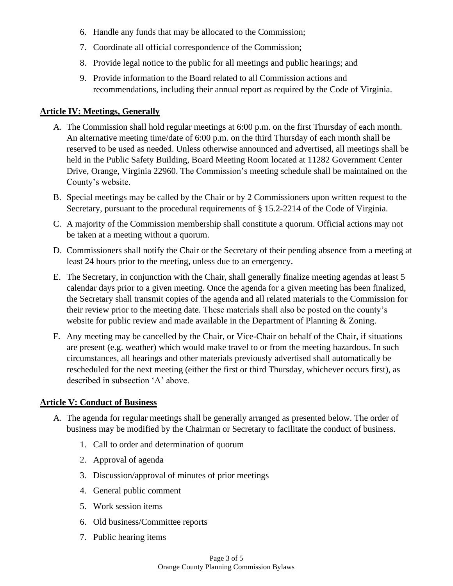- 6. Handle any funds that may be allocated to the Commission;
- 7. Coordinate all official correspondence of the Commission;
- 8. Provide legal notice to the public for all meetings and public hearings; and
- 9. Provide information to the Board related to all Commission actions and recommendations, including their annual report as required by the Code of Virginia.

## **Article IV: Meetings, Generally**

- A. The Commission shall hold regular meetings at 6:00 p.m. on the first Thursday of each month. An alternative meeting time/date of 6:00 p.m. on the third Thursday of each month shall be reserved to be used as needed. Unless otherwise announced and advertised, all meetings shall be held in the Public Safety Building, Board Meeting Room located at 11282 Government Center Drive, Orange, Virginia 22960. The Commission's meeting schedule shall be maintained on the County's website.
- B. Special meetings may be called by the Chair or by 2 Commissioners upon written request to the Secretary, pursuant to the procedural requirements of § 15.2-2214 of the Code of Virginia.
- C. A majority of the Commission membership shall constitute a quorum. Official actions may not be taken at a meeting without a quorum.
- D. Commissioners shall notify the Chair or the Secretary of their pending absence from a meeting at least 24 hours prior to the meeting, unless due to an emergency.
- E. The Secretary, in conjunction with the Chair, shall generally finalize meeting agendas at least 5 calendar days prior to a given meeting. Once the agenda for a given meeting has been finalized, the Secretary shall transmit copies of the agenda and all related materials to the Commission for their review prior to the meeting date. These materials shall also be posted on the county's website for public review and made available in the Department of Planning & Zoning.
- F. Any meeting may be cancelled by the Chair, or Vice-Chair on behalf of the Chair, if situations are present (e.g. weather) which would make travel to or from the meeting hazardous. In such circumstances, all hearings and other materials previously advertised shall automatically be rescheduled for the next meeting (either the first or third Thursday, whichever occurs first), as described in subsection 'A' above.

## **Article V: Conduct of Business**

- A. The agenda for regular meetings shall be generally arranged as presented below. The order of business may be modified by the Chairman or Secretary to facilitate the conduct of business.
	- 1. Call to order and determination of quorum
	- 2. Approval of agenda
	- 3. Discussion/approval of minutes of prior meetings
	- 4. General public comment
	- 5. Work session items
	- 6. Old business/Committee reports
	- 7. Public hearing items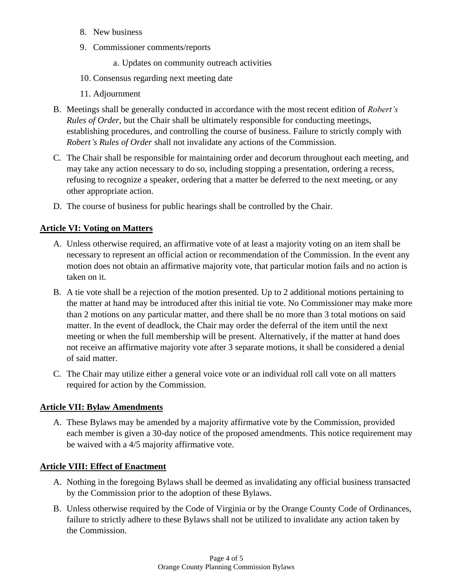- 8. New business
- 9. Commissioner comments/reports

a. Updates on community outreach activities

- 10. Consensus regarding next meeting date
- 11. Adjournment
- B. Meetings shall be generally conducted in accordance with the most recent edition of *Robert's Rules of Order*, but the Chair shall be ultimately responsible for conducting meetings, establishing procedures, and controlling the course of business. Failure to strictly comply with *Robert's Rules of Order* shall not invalidate any actions of the Commission.
- C. The Chair shall be responsible for maintaining order and decorum throughout each meeting, and may take any action necessary to do so, including stopping a presentation, ordering a recess, refusing to recognize a speaker, ordering that a matter be deferred to the next meeting, or any other appropriate action.
- D. The course of business for public hearings shall be controlled by the Chair.

### **Article VI: Voting on Matters**

- A. Unless otherwise required, an affirmative vote of at least a majority voting on an item shall be necessary to represent an official action or recommendation of the Commission. In the event any motion does not obtain an affirmative majority vote, that particular motion fails and no action is taken on it.
- B. A tie vote shall be a rejection of the motion presented. Up to 2 additional motions pertaining to the matter at hand may be introduced after this initial tie vote. No Commissioner may make more than 2 motions on any particular matter, and there shall be no more than 3 total motions on said matter. In the event of deadlock, the Chair may order the deferral of the item until the next meeting or when the full membership will be present. Alternatively, if the matter at hand does not receive an affirmative majority vote after 3 separate motions, it shall be considered a denial of said matter.
- C. The Chair may utilize either a general voice vote or an individual roll call vote on all matters required for action by the Commission.

#### **Article VII: Bylaw Amendments**

A. These Bylaws may be amended by a majority affirmative vote by the Commission, provided each member is given a 30-day notice of the proposed amendments. This notice requirement may be waived with a 4/5 majority affirmative vote.

### **Article VIII: Effect of Enactment**

- A. Nothing in the foregoing Bylaws shall be deemed as invalidating any official business transacted by the Commission prior to the adoption of these Bylaws.
- B. Unless otherwise required by the Code of Virginia or by the Orange County Code of Ordinances, failure to strictly adhere to these Bylaws shall not be utilized to invalidate any action taken by the Commission.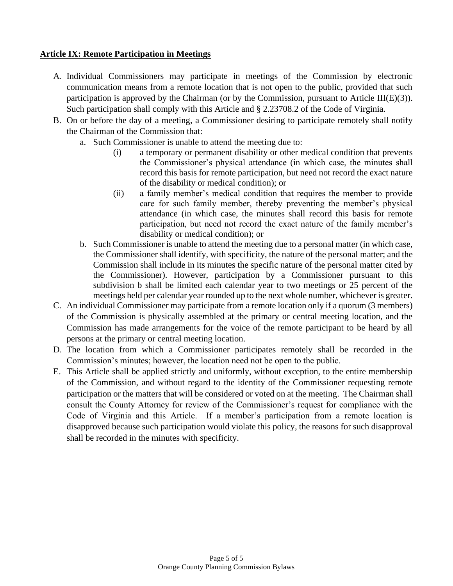## **Article IX: Remote Participation in Meetings**

- A. Individual Commissioners may participate in meetings of the Commission by electronic communication means from a remote location that is not open to the public, provided that such participation is approved by the Chairman (or by the Commission, pursuant to Article III(E)(3)). Such participation shall comply with this Article and § 2.23708.2 of the Code of Virginia.
- B. On or before the day of a meeting, a Commissioner desiring to participate remotely shall notify the Chairman of the Commission that:
	- a. Such Commissioner is unable to attend the meeting due to:
		- (i) a temporary or permanent disability or other medical condition that prevents the Commissioner's physical attendance (in which case, the minutes shall record this basis for remote participation, but need not record the exact nature of the disability or medical condition); or
		- (ii) a family member's medical condition that requires the member to provide care for such family member, thereby preventing the member's physical attendance (in which case, the minutes shall record this basis for remote participation, but need not record the exact nature of the family member's disability or medical condition); or
	- b. Such Commissioner is unable to attend the meeting due to a personal matter (in which case, the Commissioner shall identify, with specificity, the nature of the personal matter; and the Commission shall include in its minutes the specific nature of the personal matter cited by the Commissioner). However, participation by a Commissioner pursuant to this subdivision b shall be limited each calendar year to two meetings or 25 percent of the meetings held per calendar year rounded up to the next whole number, whichever is greater.
- C. An individual Commissioner may participate from a remote location only if a quorum (3 members) of the Commission is physically assembled at the primary or central meeting location, and the Commission has made arrangements for the voice of the remote participant to be heard by all persons at the primary or central meeting location.
- D. The location from which a Commissioner participates remotely shall be recorded in the Commission's minutes; however, the location need not be open to the public.
- E. This Article shall be applied strictly and uniformly, without exception, to the entire membership of the Commission, and without regard to the identity of the Commissioner requesting remote participation or the matters that will be considered or voted on at the meeting. The Chairman shall consult the County Attorney for review of the Commissioner's request for compliance with the Code of Virginia and this Article. If a member's participation from a remote location is disapproved because such participation would violate this policy, the reasons for such disapproval shall be recorded in the minutes with specificity.